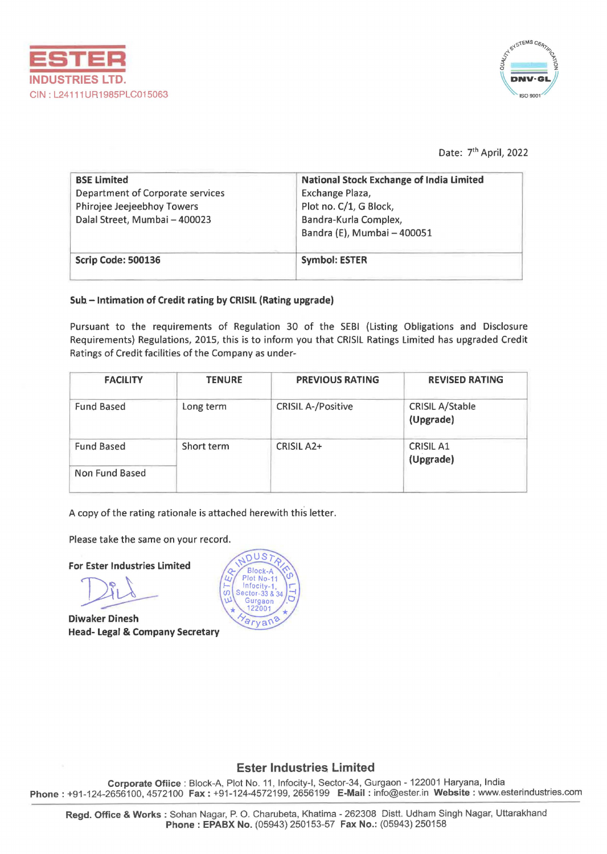



Date: 7<sup>th</sup> April, 2022

| <b>BSE Limited</b>               | National Stock Exchange of India Limited |
|----------------------------------|------------------------------------------|
| Department of Corporate services | Exchange Plaza,                          |
| Phirojee Jeejeebhoy Towers       | Plot no. C/1, G Block,                   |
| Dalal Street, Mumbai - 400023    | Bandra-Kurla Complex,                    |
|                                  | Bandra (E), Mumbai - 400051              |
| Scrip Code: 500136               | <b>Symbol: ESTER</b>                     |

# Sub - Intimation of Credit rating by CRISIL (Rating upgrade)

Pursuant to the requirements of Regulation 30 of the SEBI (Listing Obligations and Disclosure Requirements) Regulations, 2015, this is to inform you that CRISIL Ratings Limited has upgraded Credit Ratings of Credit facilities of the Company as under-

| <b>FACILITY</b>   | <b>TENURE</b> | <b>PREVIOUS RATING</b>    | <b>REVISED RATING</b>               |
|-------------------|---------------|---------------------------|-------------------------------------|
| <b>Fund Based</b> | Long term     | <b>CRISIL A-/Positive</b> | <b>CRISIL A/Stable</b><br>(Upgrade) |
| <b>Fund Based</b> | Short term    | CRISIL A <sub>2</sub> +   | <b>CRISIL A1</b><br>(Upgrade)       |
| Non Fund Based    |               |                           |                                     |

A copy of the rating rationale is attached herewith this letter.

Please take the same on your record.

For Ester Industries Limited

Diwaker Dinesh Head- Legal & Company Secretary



# Ester Industries Limited

Corporate Ofiice : Block-A, Plot No. 11, lnfocity-1, Sector-34, Gurgaon - 122001 Haryana, India Phone: +91-124-2656100, 4572100 Fax: +91-124-4572199, 2656199 E-Mail : info@ester.in Website: www.esterindustries.com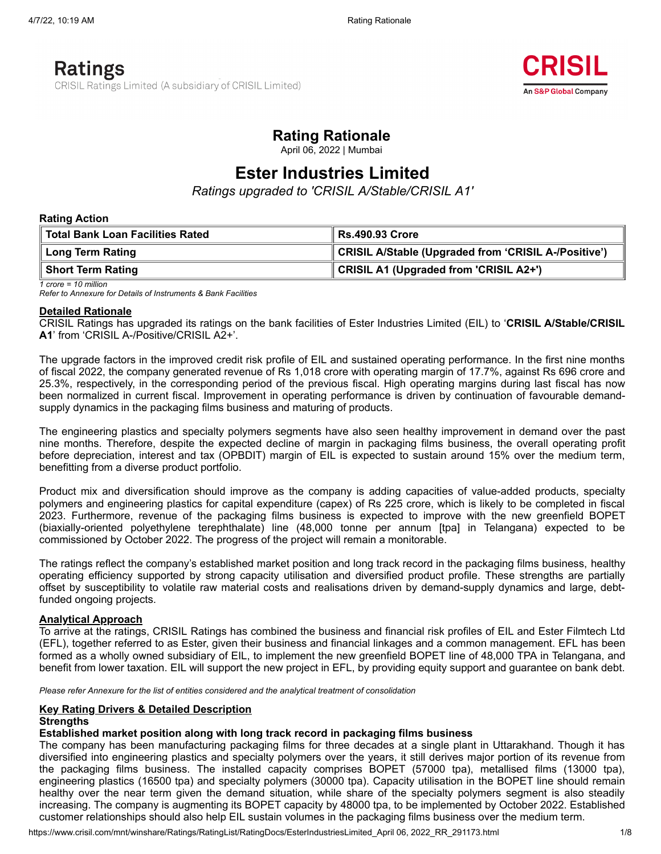

# **Rating Rationale**

April 06, 2022 | Mumbai

# **Ester Industries Limited**

*Ratings upgraded to 'CRISIL A/Stable/CRISIL A1'*

## **Rating Action**

| Total Bank Loan Facilities Rated | <b>Rs.490.93 Crore</b>                               |  |  |
|----------------------------------|------------------------------------------------------|--|--|
| Long Term Rating                 | CRISIL A/Stable (Upgraded from 'CRISIL A-/Positive') |  |  |
| Short Term Rating                | CRISIL A1 (Upgraded from 'CRISIL A2+')               |  |  |

*1 crore = 10 million Refer to Annexure for Details of Instruments & Bank Facilities*

## **Detailed Rationale**

CRISIL Ratings has upgraded its ratings on the bank facilities of Ester Industries Limited (EIL) to '**CRISIL A/Stable/CRISIL A1**' from 'CRISIL A-/Positive/CRISIL A2+'.

The upgrade factors in the improved credit risk profile of EIL and sustained operating performance. In the first nine months of fiscal 2022, the company generated revenue of Rs 1,018 crore with operating margin of 17.7%, against Rs 696 crore and 25.3%, respectively, in the corresponding period of the previous fiscal. High operating margins during last fiscal has now been normalized in current fiscal. Improvement in operating performance is driven by continuation of favourable demandsupply dynamics in the packaging films business and maturing of products.

The engineering plastics and specialty polymers segments have also seen healthy improvement in demand over the past nine months. Therefore, despite the expected decline of margin in packaging films business, the overall operating profit before depreciation, interest and tax (OPBDIT) margin of EIL is expected to sustain around 15% over the medium term, benefitting from a diverse product portfolio.

Product mix and diversification should improve as the company is adding capacities of value-added products, specialty polymers and engineering plastics for capital expenditure (capex) of Rs 225 crore, which is likely to be completed in fiscal 2023. Furthermore, revenue of the packaging films business is expected to improve with the new greenfield BOPET (biaxially-oriented polyethylene terephthalate) line (48,000 tonne per annum [tpa] in Telangana) expected to be commissioned by October 2022. The progress of the project will remain a monitorable.

The ratings reflect the company's established market position and long track record in the packaging films business, healthy operating efficiency supported by strong capacity utilisation and diversified product profile. These strengths are partially offset by susceptibility to volatile raw material costs and realisations driven by demand-supply dynamics and large, debtfunded ongoing projects.

## **Analytical Approach**

To arrive at the ratings, CRISIL Ratings has combined the business and financial risk profiles of EIL and Ester Filmtech Ltd (EFL), together referred to as Ester, given their business and financial linkages and a common management. EFL has been formed as a wholly owned subsidiary of EIL, to implement the new greenfield BOPET line of 48,000 TPA in Telangana, and benefit from lower taxation. EIL will support the new project in EFL, by providing equity support and guarantee on bank debt.

*Please refer Annexure for the list of entities considered and the analytical treatment of consolidation*

### **Key Rating Drivers & Detailed Description Strengths**

# **Established market position along with long track record in packaging films business**

The company has been manufacturing packaging films for three decades at a single plant in Uttarakhand. Though it has diversified into engineering plastics and specialty polymers over the years, it still derives major portion of its revenue from the packaging films business. The installed capacity comprises BOPET (57000 tpa), metallised films (13000 tpa), engineering plastics (16500 tpa) and specialty polymers (30000 tpa). Capacity utilisation in the BOPET line should remain healthy over the near term given the demand situation, while share of the specialty polymers segment is also steadily increasing. The company is augmenting its BOPET capacity by 48000 tpa, to be implemented by October 2022. Established customer relationships should also help EIL sustain volumes in the packaging films business over the medium term.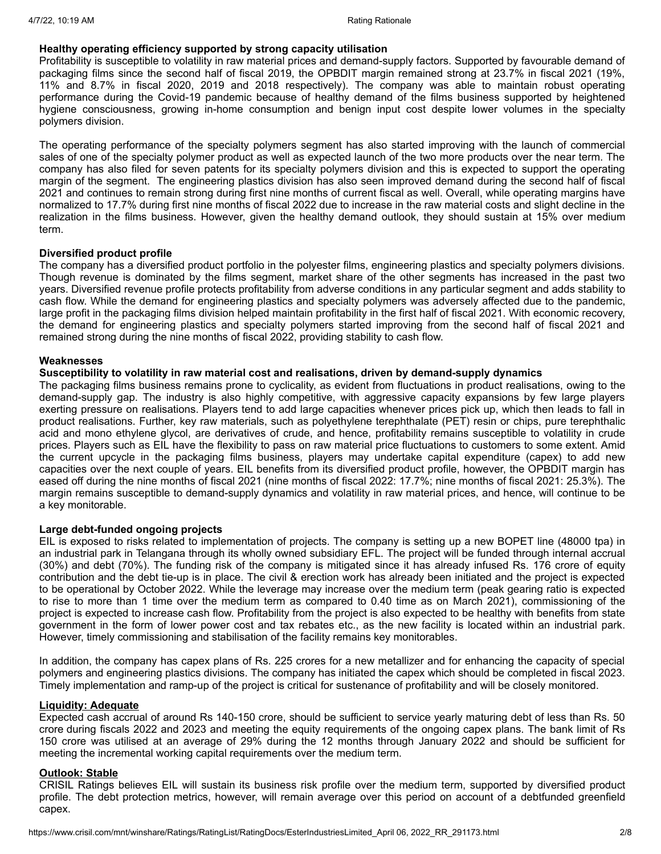## **Healthy operating efficiency supported by strong capacity utilisation**

Profitability is susceptible to volatility in raw material prices and demand-supply factors. Supported by favourable demand of packaging films since the second half of fiscal 2019, the OPBDIT margin remained strong at 23.7% in fiscal 2021 (19%, 11% and 8.7% in fiscal 2020, 2019 and 2018 respectively). The company was able to maintain robust operating performance during the Covid-19 pandemic because of healthy demand of the films business supported by heightened hygiene consciousness, growing in-home consumption and benign input cost despite lower volumes in the specialty polymers division.

The operating performance of the specialty polymers segment has also started improving with the launch of commercial sales of one of the specialty polymer product as well as expected launch of the two more products over the near term. The company has also filed for seven patents for its specialty polymers division and this is expected to support the operating margin of the segment. The engineering plastics division has also seen improved demand during the second half of fiscal 2021 and continues to remain strong during first nine months of current fiscal as well. Overall, while operating margins have normalized to 17.7% during first nine months of fiscal 2022 due to increase in the raw material costs and slight decline in the realization in the films business. However, given the healthy demand outlook, they should sustain at 15% over medium term.

## **Diversified product profile**

The company has a diversified product portfolio in the polyester films, engineering plastics and specialty polymers divisions. Though revenue is dominated by the films segment, market share of the other segments has increased in the past two years. Diversified revenue profile protects profitability from adverse conditions in any particular segment and adds stability to cash flow. While the demand for engineering plastics and specialty polymers was adversely affected due to the pandemic, large profit in the packaging films division helped maintain profitability in the first half of fiscal 2021. With economic recovery, the demand for engineering plastics and specialty polymers started improving from the second half of fiscal 2021 and remained strong during the nine months of fiscal 2022, providing stability to cash flow.

## **Weaknesses**

# **Susceptibility to volatility in raw material cost and realisations, driven by demand-supply dynamics**

The packaging films business remains prone to cyclicality, as evident from fluctuations in product realisations, owing to the demand-supply gap. The industry is also highly competitive, with aggressive capacity expansions by few large players exerting pressure on realisations. Players tend to add large capacities whenever prices pick up, which then leads to fall in product realisations. Further, key raw materials, such as polyethylene terephthalate (PET) resin or chips, pure terephthalic acid and mono ethylene glycol, are derivatives of crude, and hence, profitability remains susceptible to volatility in crude prices. Players such as EIL have the flexibility to pass on raw material price fluctuations to customers to some extent. Amid the current upcycle in the packaging films business, players may undertake capital expenditure (capex) to add new capacities over the next couple of years. EIL benefits from its diversified product profile, however, the OPBDIT margin has eased off during the nine months of fiscal 2021 (nine months of fiscal 2022: 17.7%; nine months of fiscal 2021: 25.3%). The margin remains susceptible to demand-supply dynamics and volatility in raw material prices, and hence, will continue to be a key monitorable.

## **Large debt-funded ongoing projects**

EIL is exposed to risks related to implementation of projects. The company is setting up a new BOPET line (48000 tpa) in an industrial park in Telangana through its wholly owned subsidiary EFL. The project will be funded through internal accrual (30%) and debt (70%). The funding risk of the company is mitigated since it has already infused Rs. 176 crore of equity contribution and the debt tie-up is in place. The civil & erection work has already been initiated and the project is expected to be operational by October 2022. While the leverage may increase over the medium term (peak gearing ratio is expected to rise to more than 1 time over the medium term as compared to 0.40 time as on March 2021), commissioning of the project is expected to increase cash flow. Profitability from the project is also expected to be healthy with benefits from state government in the form of lower power cost and tax rebates etc., as the new facility is located within an industrial park. However, timely commissioning and stabilisation of the facility remains key monitorables.

In addition, the company has capex plans of Rs. 225 crores for a new metallizer and for enhancing the capacity of special polymers and engineering plastics divisions. The company has initiated the capex which should be completed in fiscal 2023. Timely implementation and ramp-up of the project is critical for sustenance of profitability and will be closely monitored.

# **Liquidity: Adequate**

Expected cash accrual of around Rs 140-150 crore, should be sufficient to service yearly maturing debt of less than Rs. 50 crore during fiscals 2022 and 2023 and meeting the equity requirements of the ongoing capex plans. The bank limit of Rs 150 crore was utilised at an average of 29% during the 12 months through January 2022 and should be sufficient for meeting the incremental working capital requirements over the medium term.

## **Outlook: Stable**

CRISIL Ratings believes EIL will sustain its business risk profile over the medium term, supported by diversified product profile. The debt protection metrics, however, will remain average over this period on account of a debtfunded greenfield capex.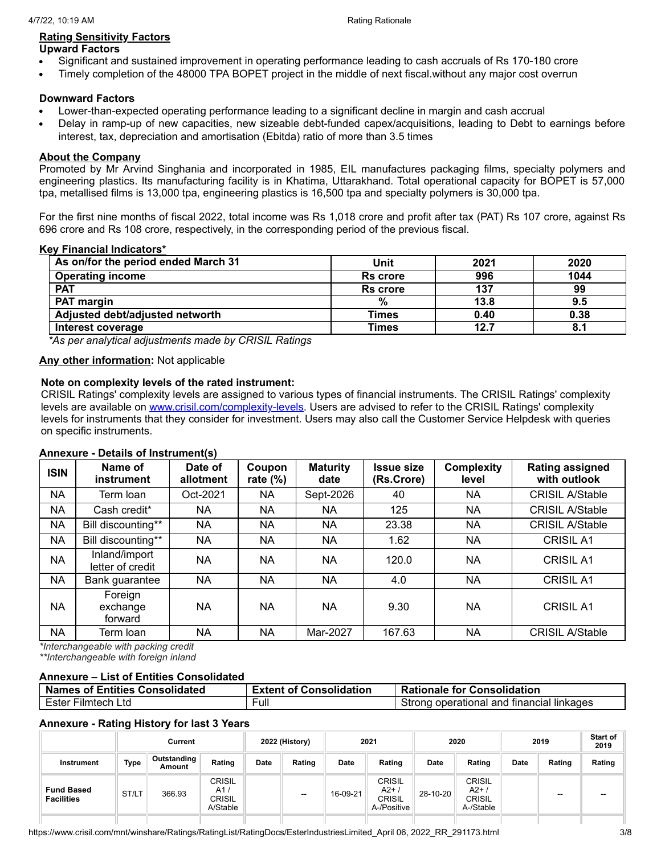#### **Rating Sensitivity Factors Upward Factors**

- Significant and sustained improvement in operating performance leading to cash accruals of Rs 170-180 crore
- Timely completion of the 48000 TPA BOPET project in the middle of next fiscal.without any major cost overrun

# **Downward Factors**

- Lower-than-expected operating performance leading to a significant decline in margin and cash accrual
- Delay in ramp-up of new capacities, new sizeable debt-funded capex/acquisitions, leading to Debt to earnings before interest, tax, depreciation and amortisation (Ebitda) ratio of more than 3.5 times

# **About the Company**

Promoted by Mr Arvind Singhania and incorporated in 1985, EIL manufactures packaging films, specialty polymers and engineering plastics. Its manufacturing facility is in Khatima, Uttarakhand. Total operational capacity for BOPET is 57,000 tpa, metallised films is 13,000 tpa, engineering plastics is 16,500 tpa and specialty polymers is 30,000 tpa.

For the first nine months of fiscal 2022, total income was Rs 1,018 crore and profit after tax (PAT) Rs 107 crore, against Rs 696 crore and Rs 108 crore, respectively, in the corresponding period of the previous fiscal.

# **Key Financial Indicators\***

| As on/for the period ended March 31 | Unit            | 2021 | 2020 |
|-------------------------------------|-----------------|------|------|
| <b>Operating income</b>             | <b>Rs</b> crore | 996  | 1044 |
| <b>PAT</b>                          | <b>Rs</b> crore | 137  | 99   |
| <b>PAT margin</b>                   | %               | 13.8 | 9.5  |
| Adjusted debt/adjusted networth     | <b>Times</b>    | 0.40 | 0.38 |
| Interest coverage                   | Times           | 12.7 | 8.1  |

*\*As per analytical adjustments made by CRISIL Ratings*

# **Any other information:** Not applicable

# **Note on complexity levels of the rated instrument:**

CRISIL Ratings' complexity levels are assigned to various types of financial instruments. The CRISIL Ratings' complexity levels are available on [www.crisil.com/complexity-levels](http://www.crisil.com/complexity-levels). Users are advised to refer to the CRISIL Ratings' complexity levels for instruments that they consider for investment. Users may also call the Customer Service Helpdesk with queries on specific instruments.

# **Annexure - Details of Instrument(s)**

| <b>ISIN</b> | Name of<br>instrument             | Date of<br>allotment | Coupon<br>rate $(\%)$ | <b>Maturity</b><br>date | <b>Issue size</b><br>(Rs.Crore) | <b>Complexity</b><br>level | <b>Rating assigned</b><br>with outlook |
|-------------|-----------------------------------|----------------------|-----------------------|-------------------------|---------------------------------|----------------------------|----------------------------------------|
| NA          | Term Ioan                         | Oct-2021             | NA.                   | Sept-2026               | 40                              | NA                         | <b>CRISIL A/Stable</b>                 |
| <b>NA</b>   | Cash credit*                      | NA                   | <b>NA</b>             | <b>NA</b>               | 125                             | NA                         | <b>CRISIL A/Stable</b>                 |
| <b>NA</b>   | Bill discounting**                | <b>NA</b>            | NA                    | NA                      | 23.38                           | NA                         | <b>CRISIL A/Stable</b>                 |
| NA          | Bill discounting**                | NA                   | NA                    | NA                      | 1.62                            | NA                         | <b>CRISIL A1</b>                       |
| <b>NA</b>   | Inland/import<br>letter of credit | <b>NA</b>            | NA                    | <b>NA</b>               | 120.0                           | NA                         | <b>CRISIL A1</b>                       |
| NA          | Bank guarantee                    | <b>NA</b>            | NA                    | <b>NA</b>               | 4.0                             | NA                         | <b>CRISIL A1</b>                       |
| NA          | Foreign<br>exchange<br>forward    | <b>NA</b>            | <b>NA</b>             | <b>NA</b>               | 9.30                            | NA                         | <b>CRISIL A1</b>                       |
| NA          | Term Ioan                         | NA                   | NA                    | Mar-2027                | 167.63                          | NA                         | <b>CRISIL A/Stable</b>                 |

*\*Interchangeable with packing credit*

*\*\*Interchangeable with foreign inland*

# **Annexure – List of Entities Consolidated**

| Names of Entities Consolidated | <b>Extent of Consolidation</b> | <b>Rationale for Consolidation</b>        |
|--------------------------------|--------------------------------|-------------------------------------------|
| Ester Filmtech Ltd             | Full                           | Strong operational and financial linkages |

# **Annexure - Rating History for last 3 Years**

|                                        |       | Current               |                                                   |             | 2022 (History) |             | 2021                                                   |          | 2020                                          |             | 2019   | <b>Start of</b><br>2019 |
|----------------------------------------|-------|-----------------------|---------------------------------------------------|-------------|----------------|-------------|--------------------------------------------------------|----------|-----------------------------------------------|-------------|--------|-------------------------|
| Instrument                             | Type  | Outstanding<br>Amount | Rating                                            | <b>Date</b> | Rating         | <b>Date</b> | Rating                                                 | Date     | Rating                                        | <b>Date</b> | Rating | Rating                  |
| <b>Fund Based</b><br><b>Facilities</b> | ST/LT | 366.93                | <b>CRISIL</b><br>A1/<br><b>CRISIL</b><br>A/Stable |             | $\sim$         | 16-09-21    | <b>CRISIL</b><br>$A2+$<br><b>CRISIL</b><br>A-/Positive | 28-10-20 | CRISIL<br>$A2+$<br><b>CRISIL</b><br>A-/Stable |             | --     | --                      |
|                                        |       |                       |                                                   |             |                |             |                                                        |          |                                               |             |        |                         |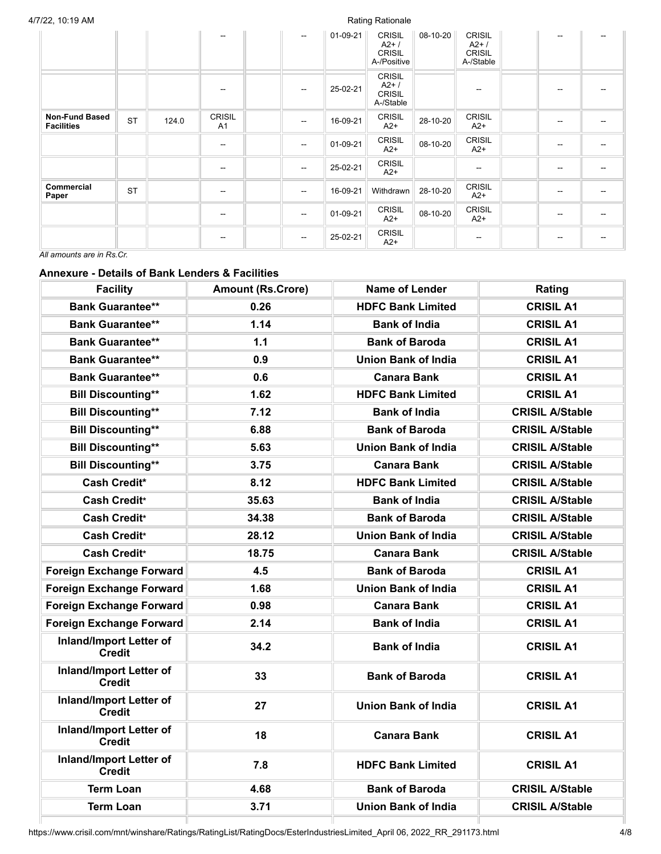|                                            |           |       | --                              | $\overline{a}$ | 01-09-21 | <b>CRISIL</b><br>$A2+$<br><b>CRISIL</b><br>A-/Positive | 08-10-20 | <b>CRISIL</b><br>$A2+$<br><b>CRISIL</b><br>A-/Stable |                          |                          |
|--------------------------------------------|-----------|-------|---------------------------------|----------------|----------|--------------------------------------------------------|----------|------------------------------------------------------|--------------------------|--------------------------|
|                                            |           |       | --                              | --             | 25-02-21 | <b>CRISIL</b><br>$A2+$<br><b>CRISIL</b><br>A-/Stable   |          | $\sim$                                               |                          |                          |
| <b>Non-Fund Based</b><br><b>Facilities</b> | <b>ST</b> | 124.0 | <b>CRISIL</b><br>A <sub>1</sub> | --             | 16-09-21 | <b>CRISIL</b><br>$A2+$                                 | 28-10-20 | <b>CRISIL</b><br>$A2+$                               | $\overline{\phantom{a}}$ | $\overline{\phantom{m}}$ |
|                                            |           |       | $\overline{\phantom{a}}$        | $\overline{a}$ | 01-09-21 | <b>CRISIL</b><br>$A2+$                                 | 08-10-20 | <b>CRISIL</b><br>$A2+$                               | --                       |                          |
|                                            |           |       | $\overline{\phantom{a}}$        | --             | 25-02-21 | <b>CRISIL</b><br>$A2+$                                 |          | $\hspace{0.05cm}$                                    | --                       |                          |
| Commercial<br>Paper                        | <b>ST</b> |       | $\overline{\phantom{a}}$        | --             | 16-09-21 | Withdrawn                                              | 28-10-20 | <b>CRISIL</b><br>$A2+$                               | $\overline{\phantom{a}}$ | --                       |
|                                            |           |       | --                              | --             | 01-09-21 | <b>CRISIL</b><br>$A2+$                                 | 08-10-20 | <b>CRISIL</b><br>$A2+$                               | --                       |                          |
| $\mathbf{a}$                               |           |       | $\hspace{0.05cm}$               | --             | 25-02-21 | <b>CRISIL</b><br>$A2+$                                 |          | $\hspace{0.05cm}$                                    | --                       |                          |

*All amounts are in Rs.Cr.*

# **Annexure - Details of Bank Lenders & Facilities**

| <b>Facility</b>                                 | <b>Amount (Rs.Crore)</b> | <b>Name of Lender</b>      | Rating                 |
|-------------------------------------------------|--------------------------|----------------------------|------------------------|
| <b>Bank Guarantee**</b>                         | 0.26                     | <b>HDFC Bank Limited</b>   | <b>CRISIL A1</b>       |
| <b>Bank Guarantee**</b>                         | 1.14                     | <b>Bank of India</b>       | <b>CRISIL A1</b>       |
| <b>Bank Guarantee**</b>                         | 1.1                      | <b>Bank of Baroda</b>      | <b>CRISIL A1</b>       |
| <b>Bank Guarantee**</b>                         | 0.9                      | <b>Union Bank of India</b> | <b>CRISIL A1</b>       |
| <b>Bank Guarantee**</b>                         | 0.6                      | <b>Canara Bank</b>         | <b>CRISIL A1</b>       |
| <b>Bill Discounting**</b>                       | 1.62                     | <b>HDFC Bank Limited</b>   | <b>CRISIL A1</b>       |
| <b>Bill Discounting**</b>                       | 7.12                     | <b>Bank of India</b>       | <b>CRISIL A/Stable</b> |
| <b>Bill Discounting**</b>                       | 6.88                     | <b>Bank of Baroda</b>      | <b>CRISIL A/Stable</b> |
| <b>Bill Discounting**</b>                       | 5.63                     | <b>Union Bank of India</b> | <b>CRISIL A/Stable</b> |
| <b>Bill Discounting**</b>                       | 3.75                     | Canara Bank                | <b>CRISIL A/Stable</b> |
| <b>Cash Credit*</b>                             | 8.12                     | <b>HDFC Bank Limited</b>   | <b>CRISIL A/Stable</b> |
| Cash Credit*                                    | 35.63                    | <b>Bank of India</b>       | <b>CRISIL A/Stable</b> |
| <b>Cash Credit*</b>                             | 34.38                    | <b>Bank of Baroda</b>      | <b>CRISIL A/Stable</b> |
| Cash Credit*                                    | 28.12                    | <b>Union Bank of India</b> | <b>CRISIL A/Stable</b> |
| <b>Cash Credit*</b>                             | 18.75                    | <b>Canara Bank</b>         | <b>CRISIL A/Stable</b> |
| <b>Foreign Exchange Forward</b>                 | 4.5                      | <b>Bank of Baroda</b>      | <b>CRISIL A1</b>       |
| Foreign Exchange Forward                        | 1.68                     | <b>Union Bank of India</b> | <b>CRISIL A1</b>       |
| <b>Foreign Exchange Forward</b>                 | 0.98                     | <b>Canara Bank</b>         | <b>CRISIL A1</b>       |
| <b>Foreign Exchange Forward</b>                 | 2.14                     | <b>Bank of India</b>       | <b>CRISIL A1</b>       |
| <b>Inland/Import Letter of</b><br><b>Credit</b> | 34.2                     | <b>Bank of India</b>       | <b>CRISIL A1</b>       |
| <b>Inland/Import Letter of</b><br><b>Credit</b> | 33                       | <b>Bank of Baroda</b>      | <b>CRISIL A1</b>       |
| <b>Inland/Import Letter of</b><br><b>Credit</b> | 27                       | <b>Union Bank of India</b> | <b>CRISIL A1</b>       |
| <b>Inland/Import Letter of</b><br>Credit        | 18                       | <b>Canara Bank</b>         | <b>CRISIL A1</b>       |
| <b>Inland/Import Letter of</b><br>Credit        | 7.8                      | <b>HDFC Bank Limited</b>   | <b>CRISIL A1</b>       |
| <b>Term Loan</b>                                | 4.68                     | <b>Bank of Baroda</b>      | <b>CRISIL A/Stable</b> |
| <b>Term Loan</b>                                | 3.71                     | <b>Union Bank of India</b> | <b>CRISIL A/Stable</b> |
|                                                 |                          |                            |                        |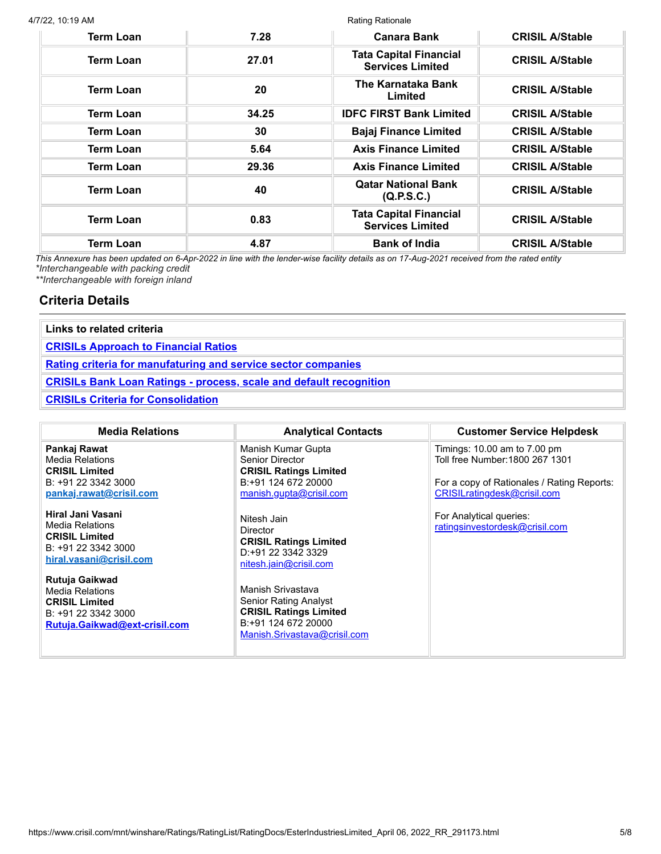#### 4/7/22, 10:19 AM

| M                |       | <b>Rating Rationale</b>                                  |                        |  |  |  |
|------------------|-------|----------------------------------------------------------|------------------------|--|--|--|
| <b>Term Loan</b> | 7.28  | <b>Canara Bank</b>                                       | <b>CRISIL A/Stable</b> |  |  |  |
| <b>Term Loan</b> | 27.01 | <b>Tata Capital Financial</b><br><b>Services Limited</b> | <b>CRISIL A/Stable</b> |  |  |  |
| <b>Term Loan</b> | 20    | The Karnataka Bank<br>Limited                            | <b>CRISIL A/Stable</b> |  |  |  |
| <b>Term Loan</b> | 34.25 | <b>IDFC FIRST Bank Limited</b>                           | <b>CRISIL A/Stable</b> |  |  |  |
| <b>Term Loan</b> | 30    | <b>Bajaj Finance Limited</b>                             | <b>CRISIL A/Stable</b> |  |  |  |

| Term Loan        | 5.64  | <b>Axis Finance Limited</b>                              | <b>CRISIL A/Stable</b> |
|------------------|-------|----------------------------------------------------------|------------------------|
| Term Loan        | 29.36 | <b>Axis Finance Limited</b>                              | <b>CRISIL A/Stable</b> |
| Term Loan        | 40    | <b>Qatar National Bank</b><br>(Q.P.S.C.)                 | <b>CRISIL A/Stable</b> |
| <b>Term Loan</b> | 0.83  | <b>Tata Capital Financial</b><br><b>Services Limited</b> | <b>CRISIL A/Stable</b> |
| <b>Term Loan</b> | 4.87  | <b>Bank of India</b>                                     | <b>CRISIL A/Stable</b> |

This Annexure has been updated on 6-Apr-2022 in line with the lender-wise facility details as on 17-Aug-2021 received from the rated entity *\*Interchangeable with packing credit*

*\*\*Interchangeable with foreign inland*

# **Criteria Details**

| Links to related criteria                                                 |  |
|---------------------------------------------------------------------------|--|
| <b>CRISILs Approach to Financial Ratios</b>                               |  |
| <b>Rating criteria for manufaturing and service sector companies</b>      |  |
| <b>CRISILs Bank Loan Ratings - process, scale and default recognition</b> |  |
| <b>CRISILs Criteria for Consolidation</b>                                 |  |

| <b>Media Relations</b>                                                                                                    | <b>Analytical Contacts</b>                                                                                                                | <b>Customer Service Helpdesk</b>                                                                                                             |
|---------------------------------------------------------------------------------------------------------------------------|-------------------------------------------------------------------------------------------------------------------------------------------|----------------------------------------------------------------------------------------------------------------------------------------------|
| Pankaj Rawat<br><b>Media Relations</b><br><b>CRISIL Limited</b><br>B: +91 22 3342 3000<br>pankaj.rawat@crisil.com         | Manish Kumar Gupta<br>Senior Director<br><b>CRISIL Ratings Limited</b><br>B:+91 124 672 20000<br>manish.gupta@crisil.com                  | Timings: 10.00 am to 7.00 pm<br>Toll free Number: 1800 267 1301<br>For a copy of Rationales / Rating Reports:<br>CRISILratingdesk@crisil.com |
| Hiral Jani Vasani<br><b>Media Relations</b><br><b>CRISIL Limited</b><br>B: +91 22 3342 3000<br>hiral.vasani@crisil.com    | Nitesh Jain<br>Director<br><b>CRISIL Ratings Limited</b><br>D:+91 22 3342 3329<br>nitesh.jain@crisil.com                                  | For Analytical queries:<br>ratingsinvestordesk@crisil.com                                                                                    |
| Rutuja Gaikwad<br><b>Media Relations</b><br><b>CRISIL Limited</b><br>B: +91 22 3342 3000<br>Rutuja.Gaikwad@ext-crisil.com | Manish Srivastava<br><b>Senior Rating Analyst</b><br><b>CRISIL Ratings Limited</b><br>B:+91 124 672 20000<br>Manish.Srivastava@crisil.com |                                                                                                                                              |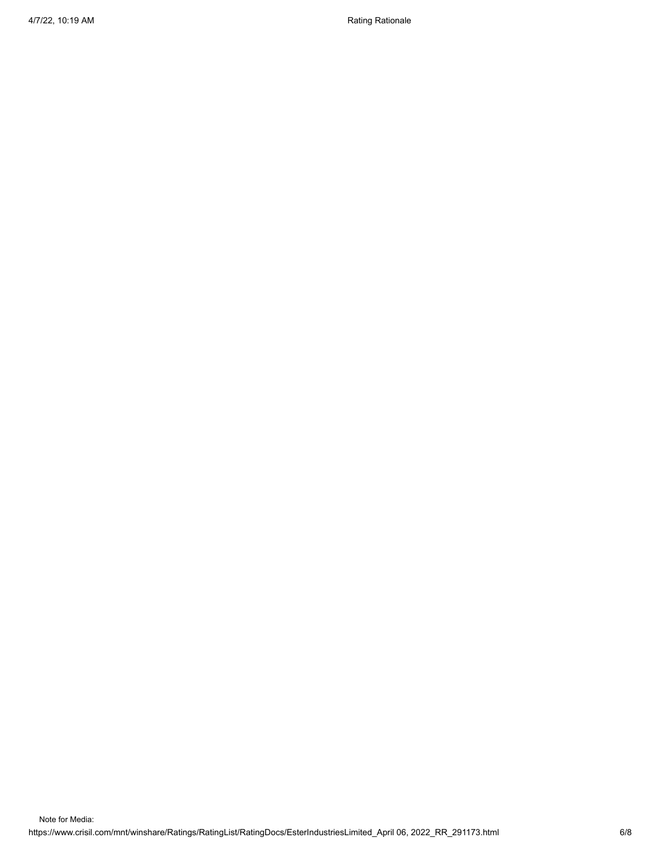4/7/22, 10:19 AM Rationale and American control of the Rational Rationale Rationale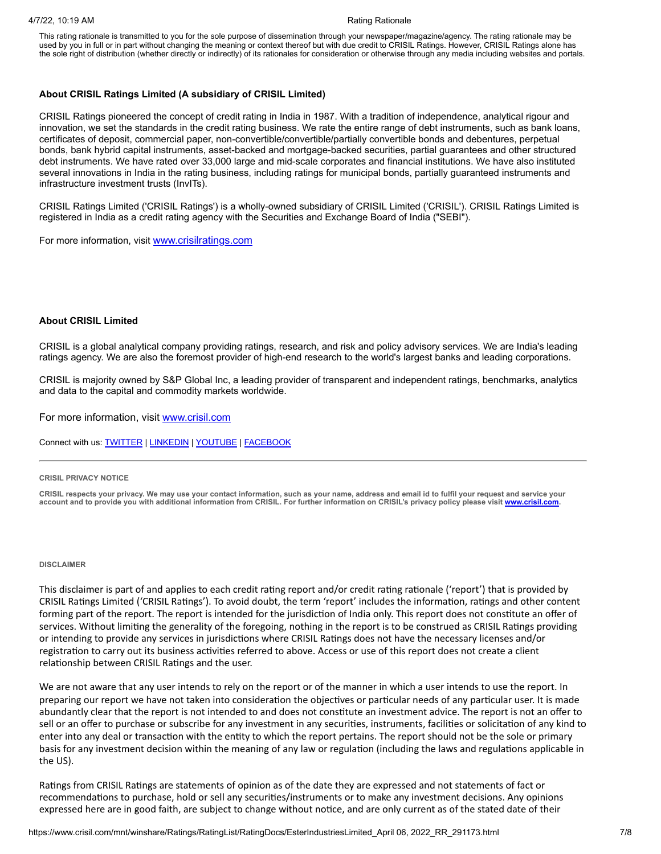#### 4/7/22, 10:19 AM Rationale Rationale Rationale Rationale Rationale Rationale Rationale

This rating rationale is transmitted to you for the sole purpose of dissemination through your newspaper/magazine/agency. The rating rationale may be used by you in full or in part without changing the meaning or context thereof but with due credit to CRISIL Ratings. However, CRISIL Ratings alone has the sole right of distribution (whether directly or indirectly) of its rationales for consideration or otherwise through any media including websites and portals.

#### **About CRISIL Ratings Limited (A subsidiary of CRISIL Limited)**

CRISIL Ratings pioneered the concept of credit rating in India in 1987. With a tradition of independence, analytical rigour and innovation, we set the standards in the credit rating business. We rate the entire range of debt instruments, such as bank loans, certificates of deposit, commercial paper, non-convertible/convertible/partially convertible bonds and debentures, perpetual bonds, bank hybrid capital instruments, asset-backed and mortgage-backed securities, partial guarantees and other structured debt instruments. We have rated over 33,000 large and mid-scale corporates and financial institutions. We have also instituted several innovations in India in the rating business, including ratings for municipal bonds, partially guaranteed instruments and infrastructure investment trusts (InvITs).

CRISIL Ratings Limited ('CRISIL Ratings') is a wholly-owned subsidiary of CRISIL Limited ('CRISIL'). CRISIL Ratings Limited is registered in India as a credit rating agency with the Securities and Exchange Board of India ("SEBI").

For more information, visit **[www.crisilratings.com](http://www.crisilratings.com/)** 

#### **About CRISIL Limited**

CRISIL is a global analytical company providing ratings, research, and risk and policy advisory services. We are India's leading ratings agency. We are also the foremost provider of high-end research to the world's largest banks and leading corporations.

CRISIL is majority owned by S&P Global Inc, a leading provider of transparent and independent ratings, benchmarks, analytics and data to the capital and commodity markets worldwide.

For more information, visit [www.crisil.com](http://www.crisil.com/)

Connect with us: [TWITTER](https://twitter.com/CRISILLimited) | [LINKEDIN](http://www.linkedin.com/company/crisil) | [YOUTUBE](https://www.youtube.com/user/CRISILLimited) | [FACEBOOK](https://www.facebook.com/CRISILLimited)

#### **CRISIL PRIVACY NOTICE**

CRISIL respects your privacy. We may use your contact information, such as your name, address and email id to fulfil your request and service your account and to provide you with additional information from CRISIL. For further information on CRISIL's privacy policy please visit [www.crisil.com.](https://www.crisil.com/en/home/crisil-privacy-notice.html)

#### **DISCLAIMER**

This disclaimer is part of and applies to each credit rating report and/or credit rating rationale ('report') that is provided by CRISIL Ratings Limited ('CRISIL Ratings'). To avoid doubt, the term 'report' includes the information, ratings and other content forming part of the report. The report is intended for the jurisdiction of India only. This report does not constitute an offer of services. Without limiting the generality of the foregoing, nothing in the report is to be construed as CRISIL Ratings providing or intending to provide any services in jurisdictions where CRISIL Ratings does not have the necessary licenses and/or registration to carry out its business activities referred to above. Access or use of this report does not create a client relationship between CRISIL Ratings and the user.

We are not aware that any user intends to rely on the report or of the manner in which a user intends to use the report. In preparing our report we have not taken into consideration the objectives or particular needs of any particular user. It is made abundantly clear that the report is not intended to and does not constitute an investment advice. The report is not an offer to sell or an offer to purchase or subscribe for any investment in any securities, instruments, facilities or solicitation of any kind to enter into any deal or transaction with the entity to which the report pertains. The report should not be the sole or primary basis for any investment decision within the meaning of any law or regulation (including the laws and regulations applicable in the US).

Ratings from CRISIL Ratings are statements of opinion as of the date they are expressed and not statements of fact or recommendations to purchase, hold or sell any securities/instruments or to make any investment decisions. Any opinions expressed here are in good faith, are subject to change without notice, and are only current as of the stated date of their